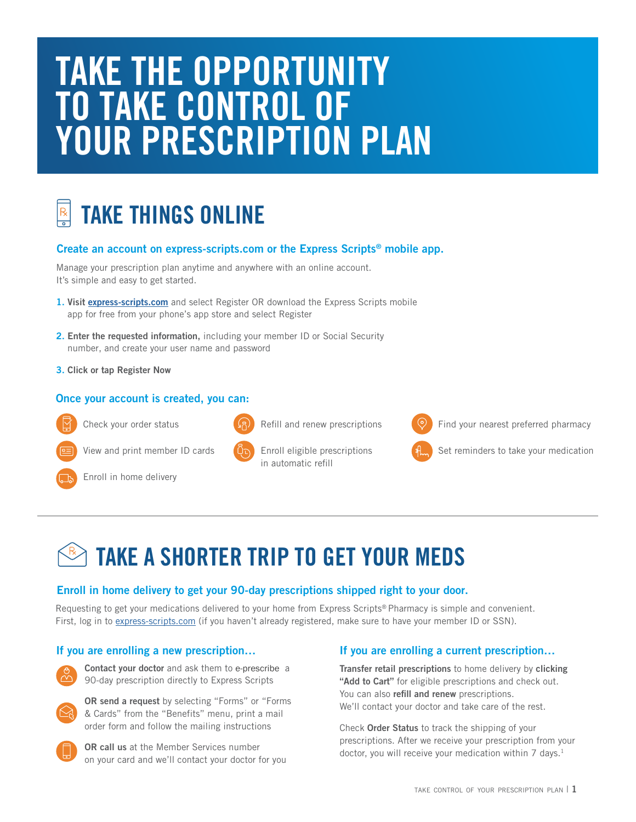# **TAKE THE OPPORTUNITY TO TAKE CONTROL OF YOUR PRESCRIPTION PLAN**

## **TAKE THINGS ONLINE**

## **Create an account on express-scripts.com or the Express Scripts® mobile app.**

Manage your prescription plan anytime and anywhere with an online account. It's simple and easy to get started.

- **1. Visit [express-scripts.com](https://express-scripts.com)** and select Register OR download the Express Scripts mobile app for free from your phone's app store and select Register
- **2. Enter the requested information,** including your member ID or Social Security number, and create your user name and password
- **3. Click or tap Register Now**

## **Once your account is created, you can:**



Check your order status



Refill and renew prescriptions



Find your nearest preferred pharmacy

View and print member ID cards

- Enroll in home delivery
- 

Enroll eligible prescriptions in automatic refill

|  | t ram |
|--|-------|

Set reminders to take your medication

## **TAKE A SHORTER TRIP TO GET YOUR MEDS**

## **Enroll in home delivery to get your 90-day prescriptions shipped right to your door.**

Requesting to get your medications delivered to your home from Express Scripts® Pharmacy is simple and convenient. First, log in to [express-scripts.com](https://express-scripts.com) (if you haven't already registered, make sure to have your member ID or SSN).



**Contact your doctor** and ask them to e-prescribe a 90-day prescription directly to Express Scripts



**OR send a request** by selecting "Forms" or "Forms & Cards" from the "Benefits" menu, print a mail order form and follow the mailing instructions

**OR call us** at the Member Services number on your card and we'll contact your doctor for you

## **If you are enrolling a new prescription… If you are enrolling a current prescription…**

**Transfer retail prescriptions** to home delivery by **clicking "Add to Cart"** for eligible prescriptions and check out. You can also **refill and renew** prescriptions. We'll contact your doctor and take care of the rest.

Check **Order Status** to track the shipping of your prescriptions. After we receive your prescription from your doctor, you will receive your medication within 7 days.<sup>1</sup>